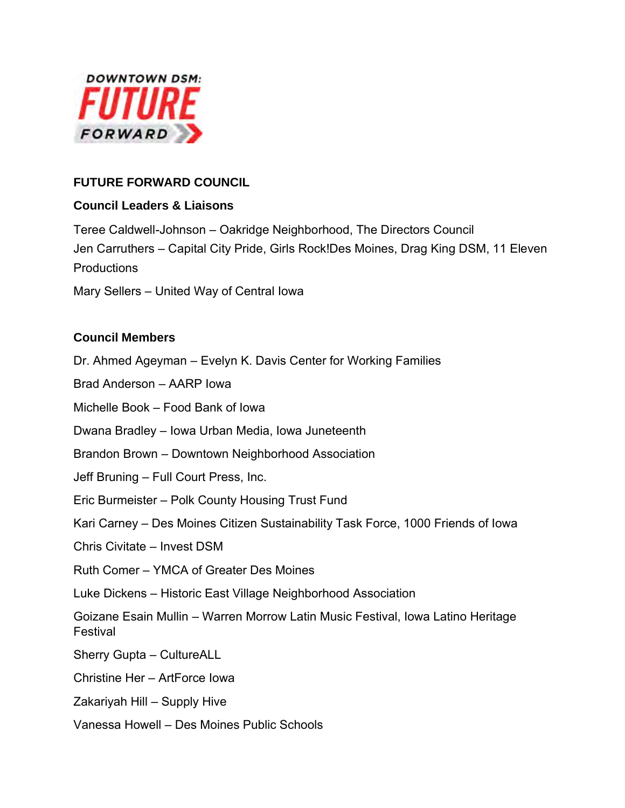

## **FUTURE FORWARD COUNCIL**

## **Council Leaders & Liaisons**

Teree Caldwell-Johnson – Oakridge Neighborhood, The Directors Council Jen Carruthers – Capital City Pride, Girls Rock!Des Moines, Drag King DSM, 11 Eleven **Productions** 

Mary Sellers – United Way of Central Iowa

## **Council Members**

Dr. Ahmed Ageyman – Evelyn K. Davis Center for Working Families

Brad Anderson – AARP Iowa

Michelle Book – Food Bank of Iowa

Dwana Bradley – Iowa Urban Media, Iowa Juneteenth

Brandon Brown – Downtown Neighborhood Association

Jeff Bruning – Full Court Press, Inc.

Eric Burmeister – Polk County Housing Trust Fund

Kari Carney – Des Moines Citizen Sustainability Task Force, 1000 Friends of Iowa

Chris Civitate – Invest DSM

Ruth Comer – YMCA of Greater Des Moines

Luke Dickens – Historic East Village Neighborhood Association

Goizane Esain Mullin – Warren Morrow Latin Music Festival, Iowa Latino Heritage Festival

Sherry Gupta – CultureALL

Christine Her – ArtForce Iowa

Zakariyah Hill – Supply Hive

Vanessa Howell – Des Moines Public Schools